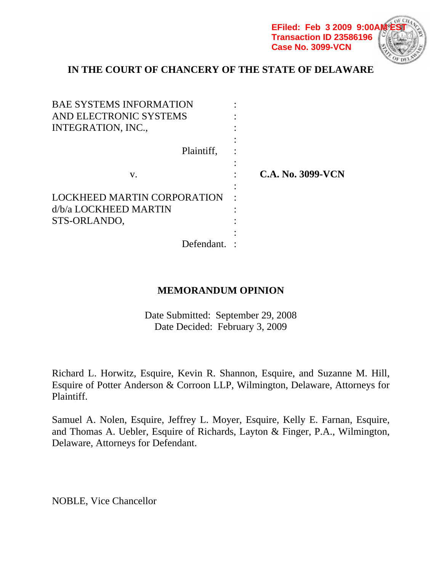**EFiled: Feb 3 2009 9:00A Transaction ID 23586196 Case No. 3099-VCN**



# **IN THE COURT OF CHANCERY OF THE STATE OF DELAWARE**

| <b>BAE SYSTEMS INFORMATION</b> |                          |  |
|--------------------------------|--------------------------|--|
| AND ELECTRONIC SYSTEMS         |                          |  |
| INTEGRATION, INC.,             |                          |  |
|                                |                          |  |
| Plaintiff.                     |                          |  |
|                                |                          |  |
| V.                             | <b>C.A. No. 3099-VCN</b> |  |
|                                |                          |  |
| LOCKHEED MARTIN CORPORATION    |                          |  |
| d/b/a LOCKHEED MARTIN          |                          |  |
| STS-ORLANDO,                   |                          |  |
|                                |                          |  |
| Defendant.                     |                          |  |

# **MEMORANDUM OPINION**

Date Submitted: September 29, 2008 Date Decided: February 3, 2009

Richard L. Horwitz, Esquire, Kevin R. Shannon, Esquire, and Suzanne M. Hill, Esquire of Potter Anderson & Corroon LLP, Wilmington, Delaware, Attorneys for Plaintiff.

Samuel A. Nolen, Esquire, Jeffrey L. Moyer, Esquire, Kelly E. Farnan, Esquire, and Thomas A. Uebler, Esquire of Richards, Layton & Finger, P.A., Wilmington, Delaware, Attorneys for Defendant.

NOBLE, Vice Chancellor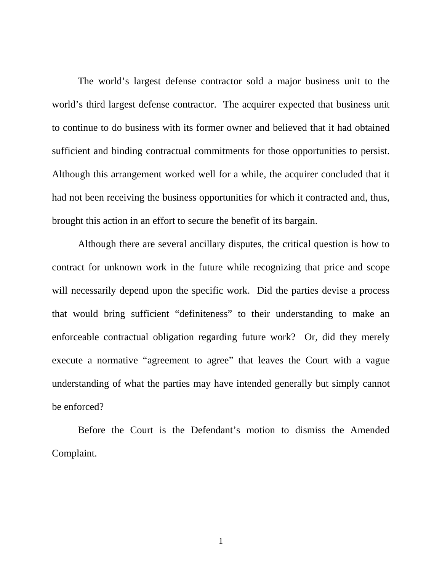The world's largest defense contractor sold a major business unit to the world's third largest defense contractor. The acquirer expected that business unit to continue to do business with its former owner and believed that it had obtained sufficient and binding contractual commitments for those opportunities to persist. Although this arrangement worked well for a while, the acquirer concluded that it had not been receiving the business opportunities for which it contracted and, thus, brought this action in an effort to secure the benefit of its bargain.

 Although there are several ancillary disputes, the critical question is how to contract for unknown work in the future while recognizing that price and scope will necessarily depend upon the specific work. Did the parties devise a process that would bring sufficient "definiteness" to their understanding to make an enforceable contractual obligation regarding future work? Or, did they merely execute a normative "agreement to agree" that leaves the Court with a vague understanding of what the parties may have intended generally but simply cannot be enforced?

 Before the Court is the Defendant's motion to dismiss the Amended Complaint.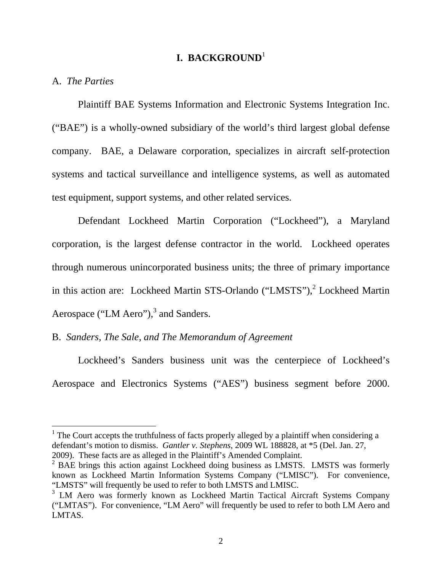# **I. BACKGROUND**<sup>1</sup>

### A. *The Parties*

 $\overline{a}$ 

 Plaintiff BAE Systems Information and Electronic Systems Integration Inc. ("BAE") is a wholly-owned subsidiary of the world's third largest global defense company. BAE, a Delaware corporation, specializes in aircraft self-protection systems and tactical surveillance and intelligence systems, as well as automated test equipment, support systems, and other related services.

 Defendant Lockheed Martin Corporation ("Lockheed"), a Maryland corporation, is the largest defense contractor in the world. Lockheed operates through numerous unincorporated business units; the three of primary importance in this action are: Lockheed Martin STS-Orlando ("LMSTS"),<sup>2</sup> Lockheed Martin Aerospace ("LM Aero"), $3$  and Sanders.

# B. *Sanders, The Sale, and The Memorandum of Agreement*

Lockheed's Sanders business unit was the centerpiece of Lockheed's Aerospace and Electronics Systems ("AES") business segment before 2000.

<sup>1</sup> The Court accepts the truthfulness of facts properly alleged by a plaintiff when considering a defendant's motion to dismiss. *Gantler v. Stephens*, 2009 WL 188828, at \*5 (Del. Jan. 27, 2009). These facts are as alleged in the Plaintiff's Amended Complaint.

 $2$  BAE brings this action against Lockheed doing business as LMSTS. LMSTS was formerly known as Lockheed Martin Information Systems Company ("LMISC"). For convenience, "LMSTS" will frequently be used to refer to both LMSTS and LMISC.

<sup>&</sup>lt;sup>3</sup> LM Aero was formerly known as Lockheed Martin Tactical Aircraft Systems Company ("LMTAS"). For convenience, "LM Aero" will frequently be used to refer to both LM Aero and LMTAS.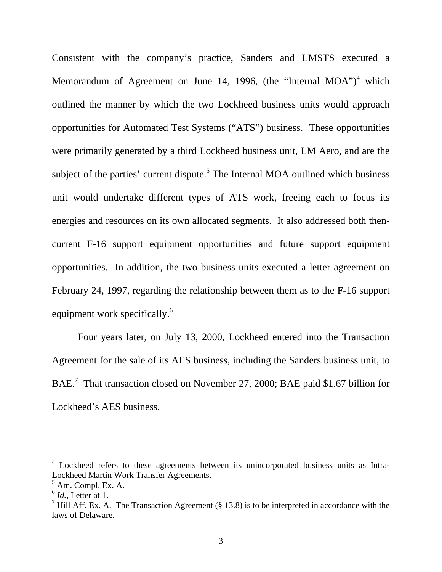Consistent with the company's practice, Sanders and LMSTS executed a Memorandum of Agreement on June 14, 1996, (the "Internal MOA")<sup>4</sup> which outlined the manner by which the two Lockheed business units would approach opportunities for Automated Test Systems ("ATS") business. These opportunities were primarily generated by a third Lockheed business unit, LM Aero, and are the subject of the parties' current dispute.<sup>5</sup> The Internal MOA outlined which business unit would undertake different types of ATS work, freeing each to focus its energies and resources on its own allocated segments. It also addressed both thencurrent F-16 support equipment opportunities and future support equipment opportunities. In addition, the two business units executed a letter agreement on February 24, 1997, regarding the relationship between them as to the F-16 support equipment work specifically.<sup>6</sup>

 Four years later, on July 13, 2000, Lockheed entered into the Transaction Agreement for the sale of its AES business, including the Sanders business unit, to BAE.<sup>7</sup> That transaction closed on November 27, 2000; BAE paid \$1.67 billion for Lockheed's AES business.

<sup>&</sup>lt;sup>4</sup> Lockheed refers to these agreements between its unincorporated business units as Intra-Lockheed Martin Work Transfer Agreements.

<sup>&</sup>lt;sup>5</sup> Am. Compl. Ex. A.

 $<sup>6</sup>$  *Id.*, Letter at 1.</sup>

<sup>&</sup>lt;sup>7</sup> Hill Aff. Ex. A. The Transaction Agreement (§ 13.8) is to be interpreted in accordance with the laws of Delaware.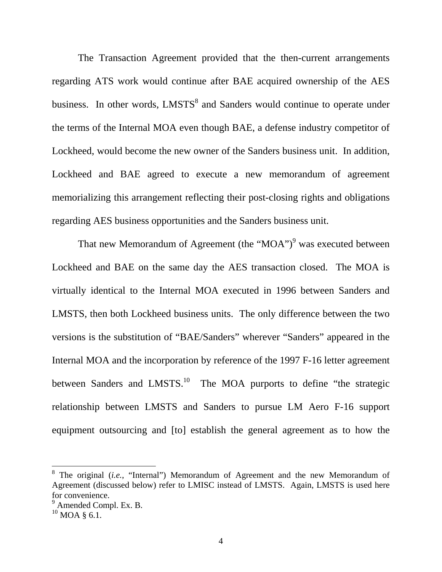The Transaction Agreement provided that the then-current arrangements regarding ATS work would continue after BAE acquired ownership of the AES business. In other words, LMSTS<sup>8</sup> and Sanders would continue to operate under the terms of the Internal MOA even though BAE, a defense industry competitor of Lockheed, would become the new owner of the Sanders business unit. In addition, Lockheed and BAE agreed to execute a new memorandum of agreement memorializing this arrangement reflecting their post-closing rights and obligations regarding AES business opportunities and the Sanders business unit.

That new Memorandum of Agreement (the "MOA") $^9$  was executed between Lockheed and BAE on the same day the AES transaction closed. The MOA is virtually identical to the Internal MOA executed in 1996 between Sanders and LMSTS, then both Lockheed business units. The only difference between the two versions is the substitution of "BAE/Sanders" wherever "Sanders" appeared in the Internal MOA and the incorporation by reference of the 1997 F-16 letter agreement between Sanders and LMSTS.<sup>10</sup> The MOA purports to define "the strategic relationship between LMSTS and Sanders to pursue LM Aero F-16 support equipment outsourcing and [to] establish the general agreement as to how the

<sup>&</sup>lt;sup>8</sup> The original (*i.e.*, "Internal") Memorandum of Agreement and the new Memorandum of Agreement (discussed below) refer to LMISC instead of LMSTS. Again, LMSTS is used here for convenience.

 $9^9$  Amended Compl. Ex. B.

 $10$  MOA  $\,$  6.1.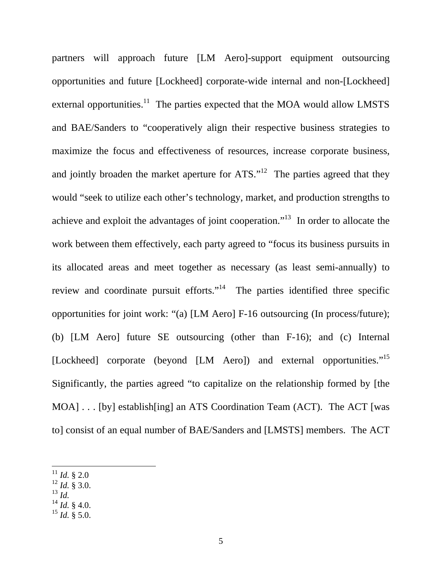partners will approach future [LM Aero]-support equipment outsourcing opportunities and future [Lockheed] corporate-wide internal and non-[Lockheed] external opportunities.<sup>11</sup> The parties expected that the MOA would allow LMSTS and BAE/Sanders to "cooperatively align their respective business strategies to maximize the focus and effectiveness of resources, increase corporate business, and jointly broaden the market aperture for  $ATS$ .<sup> $12$ </sup> The parties agreed that they would "seek to utilize each other's technology, market, and production strengths to achieve and exploit the advantages of joint cooperation."13 In order to allocate the work between them effectively, each party agreed to "focus its business pursuits in its allocated areas and meet together as necessary (as least semi-annually) to review and coordinate pursuit efforts."<sup>14</sup> The parties identified three specific opportunities for joint work: "(a) [LM Aero] F-16 outsourcing (In process/future); (b) [LM Aero] future SE outsourcing (other than F-16); and (c) Internal [Lockheed] corporate (beyond [LM Aero]) and external opportunities."15 Significantly, the parties agreed "to capitalize on the relationship formed by [the MOA] . . . [by] establish[ing] an ATS Coordination Team (ACT). The ACT [was to] consist of an equal number of BAE/Sanders and [LMSTS] members. The ACT

- $^{12}$  *Id.* § 3.0.
- <sup>13</sup> *Id.*

- $14$  *Id.* § 4.0.
- $^{15}$  *Id.*  $\frac{8}{3}$  5.0.

 $11$  *Id.* § 2.0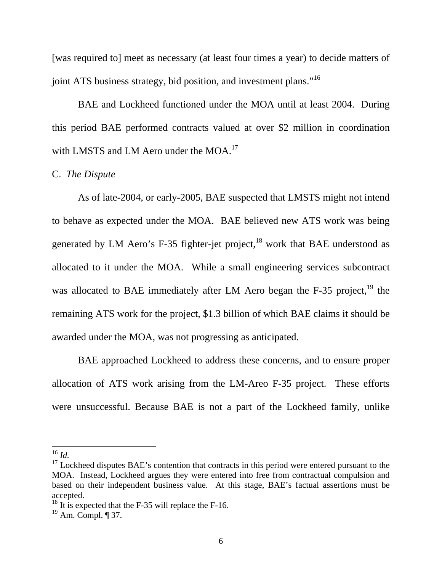[was required to] meet as necessary (at least four times a year) to decide matters of joint ATS business strategy, bid position, and investment plans."<sup>16</sup>

BAE and Lockheed functioned under the MOA until at least 2004. During this period BAE performed contracts valued at over \$2 million in coordination with LMSTS and LM Aero under the MOA.<sup>17</sup>

## C. *The Dispute*

 As of late-2004, or early-2005, BAE suspected that LMSTS might not intend to behave as expected under the MOA. BAE believed new ATS work was being generated by LM Aero's F-35 fighter-jet project, $^{18}$  work that BAE understood as allocated to it under the MOA. While a small engineering services subcontract was allocated to BAE immediately after LM Aero began the F-35 project, $^{19}$  the remaining ATS work for the project, \$1.3 billion of which BAE claims it should be awarded under the MOA, was not progressing as anticipated.

BAE approached Lockheed to address these concerns, and to ensure proper allocation of ATS work arising from the LM-Areo F-35 project. These efforts were unsuccessful. Because BAE is not a part of the Lockheed family, unlike

 $^{16}$  *Id*.

 $17$  Lockheed disputes BAE's contention that contracts in this period were entered pursuant to the MOA. Instead, Lockheed argues they were entered into free from contractual compulsion and based on their independent business value. At this stage, BAE's factual assertions must be accepted.

 $18$  It is expected that the F-35 will replace the F-16.

 $19$  Am. Compl.  $\P$  37.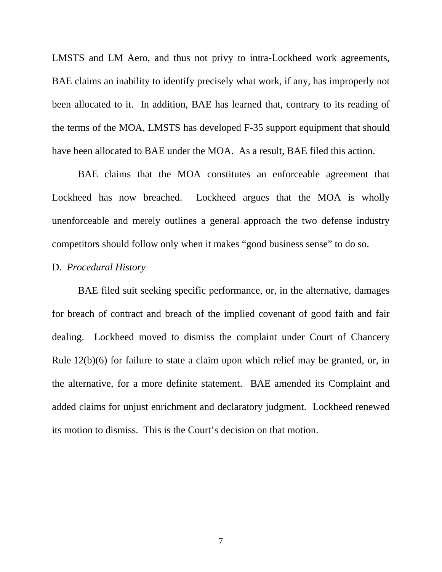LMSTS and LM Aero, and thus not privy to intra-Lockheed work agreements, BAE claims an inability to identify precisely what work, if any, has improperly not been allocated to it. In addition, BAE has learned that, contrary to its reading of the terms of the MOA, LMSTS has developed F-35 support equipment that should have been allocated to BAE under the MOA. As a result, BAE filed this action.

BAE claims that the MOA constitutes an enforceable agreement that Lockheed has now breached. Lockheed argues that the MOA is wholly unenforceable and merely outlines a general approach the two defense industry competitors should follow only when it makes "good business sense" to do so.

### D. *Procedural History*

 BAE filed suit seeking specific performance, or, in the alternative, damages for breach of contract and breach of the implied covenant of good faith and fair dealing. Lockheed moved to dismiss the complaint under Court of Chancery Rule 12(b)(6) for failure to state a claim upon which relief may be granted, or, in the alternative, for a more definite statement. BAE amended its Complaint and added claims for unjust enrichment and declaratory judgment. Lockheed renewed its motion to dismiss. This is the Court's decision on that motion.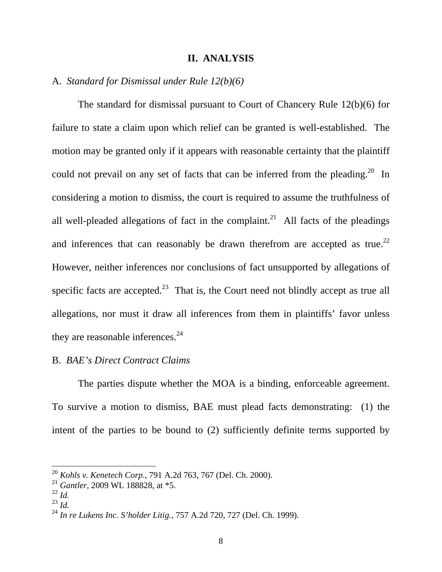#### **II. ANALYSIS**

### A. *Standard for Dismissal under Rule 12(b)(6)*

 The standard for dismissal pursuant to Court of Chancery Rule 12(b)(6) for failure to state a claim upon which relief can be granted is well-established. The motion may be granted only if it appears with reasonable certainty that the plaintiff could not prevail on any set of facts that can be inferred from the pleading.<sup>20</sup> In considering a motion to dismiss, the court is required to assume the truthfulness of all well-pleaded allegations of fact in the complaint.<sup>21</sup> All facts of the pleadings and inferences that can reasonably be drawn therefrom are accepted as true.<sup>22</sup> However, neither inferences nor conclusions of fact unsupported by allegations of specific facts are accepted.<sup>23</sup> That is, the Court need not blindly accept as true all allegations, nor must it draw all inferences from them in plaintiffs' favor unless they are reasonable inferences. $^{24}$ 

### B. *BAE's Direct Contract Claims*

The parties dispute whether the MOA is a binding, enforceable agreement. To survive a motion to dismiss, BAE must plead facts demonstrating: (1) the intent of the parties to be bound to (2) sufficiently definite terms supported by

<sup>20</sup> *Kohls v. Kenetech Corp.*, 791 A.2d 763, 767 (Del. Ch. 2000).

<sup>21</sup> *Gantler*, 2009 WL 188828, at \*5.

 $\int_{23}^{22} \vec{l} \, d$ .<br><sup>23</sup> *Id.* 

<sup>24</sup> *In re Lukens Inc. S'holder Litig.*, 757 A.2d 720, 727 (Del. Ch. 1999).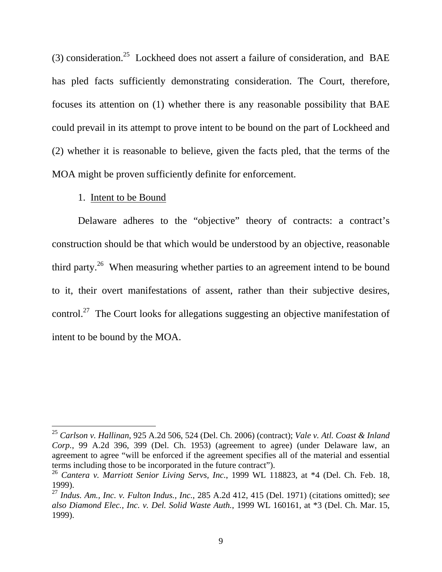(3) consideration.<sup>25</sup> Lockheed does not assert a failure of consideration, and BAE has pled facts sufficiently demonstrating consideration. The Court, therefore, focuses its attention on (1) whether there is any reasonable possibility that BAE could prevail in its attempt to prove intent to be bound on the part of Lockheed and (2) whether it is reasonable to believe, given the facts pled, that the terms of the MOA might be proven sufficiently definite for enforcement.

#### 1. Intent to be Bound

 $\overline{a}$ 

Delaware adheres to the "objective" theory of contracts: a contract's construction should be that which would be understood by an objective, reasonable third party.<sup>26</sup> When measuring whether parties to an agreement intend to be bound to it, their overt manifestations of assent, rather than their subjective desires, control.27 The Court looks for allegations suggesting an objective manifestation of intent to be bound by the MOA.

<sup>25</sup> *Carlson v. Hallinan*, 925 A.2d 506, 524 (Del. Ch. 2006) (contract); *Vale v. Atl. Coast & Inland Corp.*, 99 A.2d 396, 399 (Del. Ch. 1953) (agreement to agree) (under Delaware law, an agreement to agree "will be enforced if the agreement specifies all of the material and essential terms including those to be incorporated in the future contract").

<sup>26</sup> *Cantera v. Marriott Senior Living Servs, Inc.*, 1999 WL 118823, at \*4 (Del. Ch. Feb. 18, 1999).

<sup>27</sup> *Indus. Am., Inc. v. Fulton Indus., Inc.*, 285 A.2d 412, 415 (Del. 1971) (citations omitted); s*ee also Diamond Elec., Inc. v. Del. Solid Waste Auth.*, 1999 WL 160161, at \*3 (Del. Ch. Mar. 15, 1999).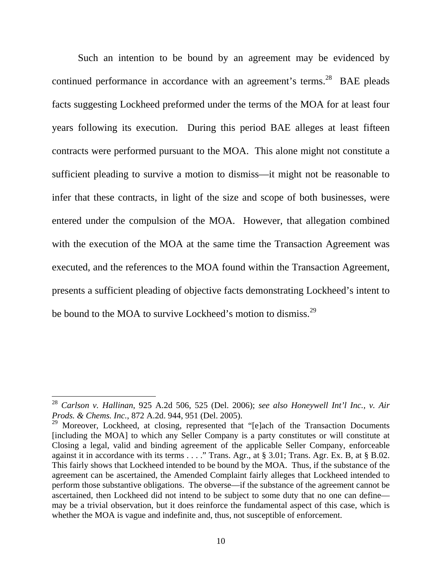Such an intention to be bound by an agreement may be evidenced by continued performance in accordance with an agreement's terms.<sup>28</sup> BAE pleads facts suggesting Lockheed preformed under the terms of the MOA for at least four years following its execution. During this period BAE alleges at least fifteen contracts were performed pursuant to the MOA. This alone might not constitute a sufficient pleading to survive a motion to dismiss—it might not be reasonable to infer that these contracts, in light of the size and scope of both businesses, were entered under the compulsion of the MOA. However, that allegation combined with the execution of the MOA at the same time the Transaction Agreement was executed, and the references to the MOA found within the Transaction Agreement, presents a sufficient pleading of objective facts demonstrating Lockheed's intent to be bound to the MOA to survive Lockheed's motion to dismiss.<sup>29</sup>

<sup>28</sup> *Carlson v. Hallinan*, 925 A.2d 506, 525 (Del. 2006); *see also Honeywell Int'l Inc., v. Air Prods. & Chems. Inc.*, 872 A.2d. 944, 951 (Del. 2005).

<sup>&</sup>lt;sup>29</sup> Moreover, Lockheed, at closing, represented that "[e]ach of the Transaction Documents [including the MOA] to which any Seller Company is a party constitutes or will constitute at Closing a legal, valid and binding agreement of the applicable Seller Company, enforceable against it in accordance with its terms . . . ." Trans. Agr., at § 3.01; Trans. Agr. Ex. B, at § B.02. This fairly shows that Lockheed intended to be bound by the MOA. Thus, if the substance of the agreement can be ascertained, the Amended Complaint fairly alleges that Lockheed intended to perform those substantive obligations. The obverse—if the substance of the agreement cannot be ascertained, then Lockheed did not intend to be subject to some duty that no one can define may be a trivial observation, but it does reinforce the fundamental aspect of this case, which is whether the MOA is vague and indefinite and, thus, not susceptible of enforcement.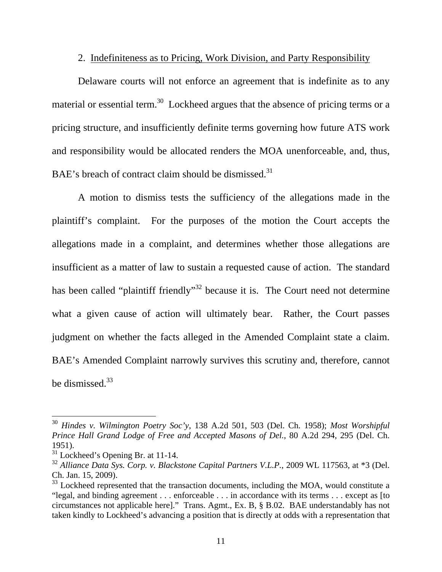# 2. Indefiniteness as to Pricing, Work Division, and Party Responsibility

Delaware courts will not enforce an agreement that is indefinite as to any material or essential term.<sup>30</sup> Lockheed argues that the absence of pricing terms or a pricing structure, and insufficiently definite terms governing how future ATS work and responsibility would be allocated renders the MOA unenforceable, and, thus, BAE's breach of contract claim should be dismissed.<sup>31</sup>

A motion to dismiss tests the sufficiency of the allegations made in the plaintiff's complaint. For the purposes of the motion the Court accepts the allegations made in a complaint, and determines whether those allegations are insufficient as a matter of law to sustain a requested cause of action. The standard has been called "plaintiff friendly"<sup>32</sup> because it is. The Court need not determine what a given cause of action will ultimately bear. Rather, the Court passes judgment on whether the facts alleged in the Amended Complaint state a claim. BAE's Amended Complaint narrowly survives this scrutiny and, therefore, cannot be dismissed.<sup>33</sup>

<sup>30</sup> *Hindes v. Wilmington Poetry Soc'y*, 138 A.2d 501, 503 (Del. Ch. 1958); *Most Worshipful Prince Hall Grand Lodge of Free and Accepted Masons of Del.*, 80 A.2d 294, 295 (Del. Ch. 1951).

 $31$  Lockheed's Opening Br. at 11-14.

<sup>32</sup> *Alliance Data Sys. Corp. v. Blackstone Capital Partners V.L.P.*, 2009 WL 117563, at \*3 (Del. Ch. Jan. 15, 2009).

 $33$  Lockheed represented that the transaction documents, including the MOA, would constitute a "legal, and binding agreement . . . enforceable . . . in accordance with its terms . . . except as [to circumstances not applicable here]." Trans. Agmt., Ex. B, § B.02. BAE understandably has not taken kindly to Lockheed's advancing a position that is directly at odds with a representation that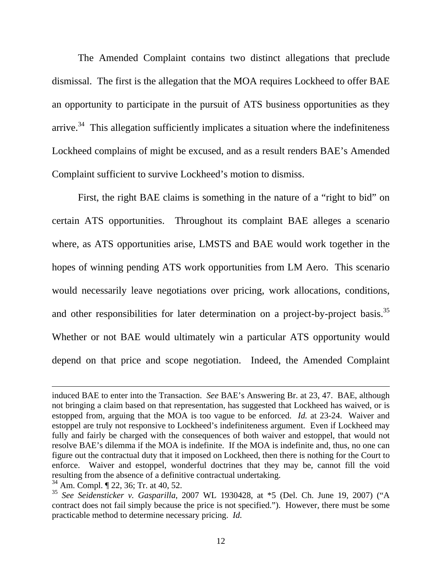The Amended Complaint contains two distinct allegations that preclude dismissal. The first is the allegation that the MOA requires Lockheed to offer BAE an opportunity to participate in the pursuit of ATS business opportunities as they arrive.<sup>34</sup> This allegation sufficiently implicates a situation where the indefiniteness Lockheed complains of might be excused, and as a result renders BAE's Amended Complaint sufficient to survive Lockheed's motion to dismiss.

First, the right BAE claims is something in the nature of a "right to bid" on certain ATS opportunities. Throughout its complaint BAE alleges a scenario where, as ATS opportunities arise, LMSTS and BAE would work together in the hopes of winning pending ATS work opportunities from LM Aero. This scenario would necessarily leave negotiations over pricing, work allocations, conditions, and other responsibilities for later determination on a project-by-project basis.<sup>35</sup> Whether or not BAE would ultimately win a particular ATS opportunity would depend on that price and scope negotiation. Indeed, the Amended Complaint

induced BAE to enter into the Transaction. *See* BAE's Answering Br. at 23, 47. BAE, although not bringing a claim based on that representation, has suggested that Lockheed has waived, or is estopped from, arguing that the MOA is too vague to be enforced. *Id.* at 23-24. Waiver and estoppel are truly not responsive to Lockheed's indefiniteness argument. Even if Lockheed may fully and fairly be charged with the consequences of both waiver and estoppel, that would not resolve BAE's dilemma if the MOA is indefinite. If the MOA is indefinite and, thus, no one can figure out the contractual duty that it imposed on Lockheed, then there is nothing for the Court to enforce. Waiver and estoppel, wonderful doctrines that they may be, cannot fill the void resulting from the absence of a definitive contractual undertaking.

<sup>34</sup> Am. Compl. ¶ 22, 36; Tr. at 40, 52.

<sup>35</sup> *See Seidensticker v. Gasparilla*, 2007 WL 1930428, at \*5 (Del. Ch. June 19, 2007) ("A contract does not fail simply because the price is not specified."). However, there must be some practicable method to determine necessary pricing. *Id.*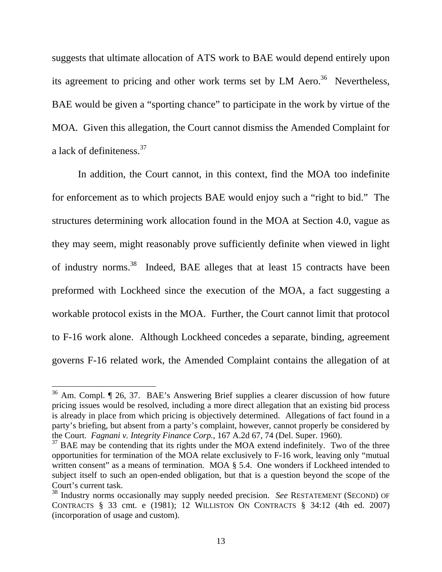suggests that ultimate allocation of ATS work to BAE would depend entirely upon its agreement to pricing and other work terms set by LM Aero.<sup>36</sup> Nevertheless, BAE would be given a "sporting chance" to participate in the work by virtue of the MOA. Given this allegation, the Court cannot dismiss the Amended Complaint for a lack of definiteness.<sup>37</sup>

In addition, the Court cannot, in this context, find the MOA too indefinite for enforcement as to which projects BAE would enjoy such a "right to bid." The structures determining work allocation found in the MOA at Section 4.0, vague as they may seem, might reasonably prove sufficiently definite when viewed in light of industry norms.38 Indeed, BAE alleges that at least 15 contracts have been preformed with Lockheed since the execution of the MOA, a fact suggesting a workable protocol exists in the MOA. Further, the Court cannot limit that protocol to F-16 work alone. Although Lockheed concedes a separate, binding, agreement governs F-16 related work, the Amended Complaint contains the allegation of at

 $36$  Am. Compl.  $\llbracket 26, 37$ . BAE's Answering Brief supplies a clearer discussion of how future pricing issues would be resolved, including a more direct allegation that an existing bid process is already in place from which pricing is objectively determined. Allegations of fact found in a party's briefing, but absent from a party's complaint, however, cannot properly be considered by the Court. *Fagnani v. Integrity Finance Corp.*, 167 A.2d 67, 74 (Del. Super. 1960).

 $37$  BAE may be contending that its rights under the MOA extend indefinitely. Two of the three opportunities for termination of the MOA relate exclusively to F-16 work, leaving only "mutual written consent" as a means of termination. MOA § 5.4. One wonders if Lockheed intended to subject itself to such an open-ended obligation, but that is a question beyond the scope of the Court's current task.

<sup>38</sup> Industry norms occasionally may supply needed precision. *See* RESTATEMENT (SECOND) OF CONTRACTS § 33 cmt. e (1981); 12 WILLISTON ON CONTRACTS § 34:12 (4th ed. 2007) (incorporation of usage and custom).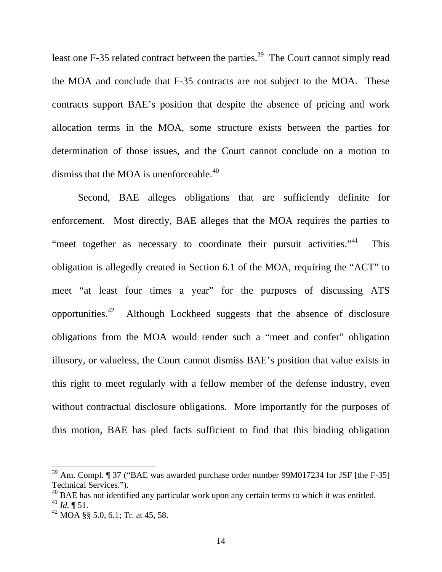least one F-35 related contract between the parties.<sup>39</sup> The Court cannot simply read the MOA and conclude that F-35 contracts are not subject to the MOA. These contracts support BAE's position that despite the absence of pricing and work allocation terms in the MOA, some structure exists between the parties for determination of those issues, and the Court cannot conclude on a motion to dismiss that the MOA is unenforceable.<sup>40</sup>

 Second, BAE alleges obligations that are sufficiently definite for enforcement. Most directly, BAE alleges that the MOA requires the parties to "meet together as necessary to coordinate their pursuit activities."<sup>41</sup> This obligation is allegedly created in Section 6.1 of the MOA, requiring the "ACT" to meet "at least four times a year" for the purposes of discussing ATS opportunities.42 Although Lockheed suggests that the absence of disclosure obligations from the MOA would render such a "meet and confer" obligation illusory, or valueless, the Court cannot dismiss BAE's position that value exists in this right to meet regularly with a fellow member of the defense industry, even without contractual disclosure obligations. More importantly for the purposes of this motion, BAE has pled facts sufficient to find that this binding obligation

 $39$  Am. Compl.  $\llbracket$  37 ("BAE was awarded purchase order number 99M017234 for JSF [the F-35] Technical Services.").

 $^{40}$  BAE has not identified any particular work upon any certain terms to which it was entitled.  $^{41}$  *Id.* ¶ 51.

 $42$  MOA §§ 5.0, 6.1; Tr. at 45, 58.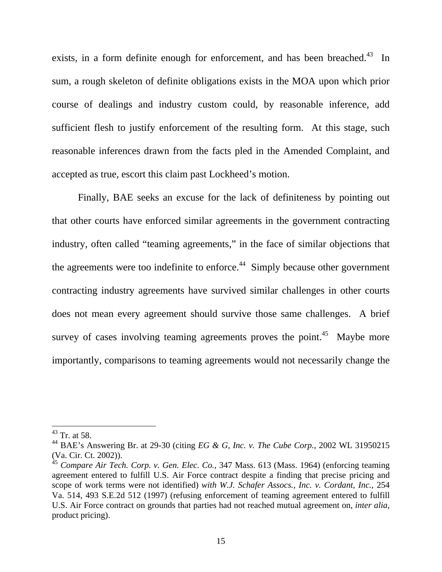exists, in a form definite enough for enforcement, and has been breached.<sup>43</sup> In sum, a rough skeleton of definite obligations exists in the MOA upon which prior course of dealings and industry custom could, by reasonable inference, add sufficient flesh to justify enforcement of the resulting form. At this stage, such reasonable inferences drawn from the facts pled in the Amended Complaint, and accepted as true, escort this claim past Lockheed's motion.

Finally, BAE seeks an excuse for the lack of definiteness by pointing out that other courts have enforced similar agreements in the government contracting industry, often called "teaming agreements," in the face of similar objections that the agreements were too indefinite to enforce.<sup>44</sup> Simply because other government contracting industry agreements have survived similar challenges in other courts does not mean every agreement should survive those same challenges. A brief survey of cases involving teaming agreements proves the point.<sup>45</sup> Maybe more importantly, comparisons to teaming agreements would not necessarily change the

 $43$  Tr. at 58.

<sup>44</sup> BAE's Answering Br. at 29-30 (citing *EG & G, Inc. v. The Cube Corp.*, 2002 WL 31950215 (Va. Cir. Ct. 2002)).

<sup>45</sup> *Compare Air Tech. Corp. v. Gen. Elec. Co.*, 347 Mass. 613 (Mass. 1964) (enforcing teaming agreement entered to fulfill U.S. Air Force contract despite a finding that precise pricing and scope of work terms were not identified) *with W.J. Schafer Assocs., Inc. v. Cordant, Inc.*, 254 Va. 514, 493 S.E.2d 512 (1997) (refusing enforcement of teaming agreement entered to fulfill U.S. Air Force contract on grounds that parties had not reached mutual agreement on, *inter alia*, product pricing).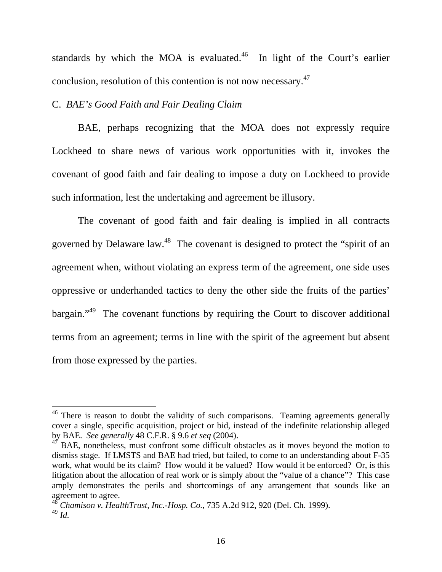standards by which the MOA is evaluated.<sup>46</sup> In light of the Court's earlier conclusion, resolution of this contention is not now necessary.47

### C. *BAE's Good Faith and Fair Dealing Claim*

 $\overline{a}$ 

 BAE, perhaps recognizing that the MOA does not expressly require Lockheed to share news of various work opportunities with it, invokes the covenant of good faith and fair dealing to impose a duty on Lockheed to provide such information, lest the undertaking and agreement be illusory.

The covenant of good faith and fair dealing is implied in all contracts governed by Delaware law.<sup>48</sup> The covenant is designed to protect the "spirit of an agreement when, without violating an express term of the agreement, one side uses oppressive or underhanded tactics to deny the other side the fruits of the parties' bargain."49 The covenant functions by requiring the Court to discover additional terms from an agreement; terms in line with the spirit of the agreement but absent from those expressed by the parties.

 $46$  There is reason to doubt the validity of such comparisons. Teaming agreements generally cover a single, specific acquisition, project or bid, instead of the indefinite relationship alleged by BAE. *See generally* 48 C.F.R. § 9.6 *et seq* (2004).

 $47$  BAE, nonetheless, must confront some difficult obstacles as it moves beyond the motion to dismiss stage. If LMSTS and BAE had tried, but failed, to come to an understanding about F-35 work, what would be its claim? How would it be valued? How would it be enforced? Or, is this litigation about the allocation of real work or is simply about the "value of a chance"? This case amply demonstrates the perils and shortcomings of any arrangement that sounds like an agreement to agree.

<sup>48</sup> *Chamison v. HealthTrust, Inc.-Hosp. Co.*, 735 A.2d 912, 920 (Del. Ch. 1999). <sup>49</sup> *Id.*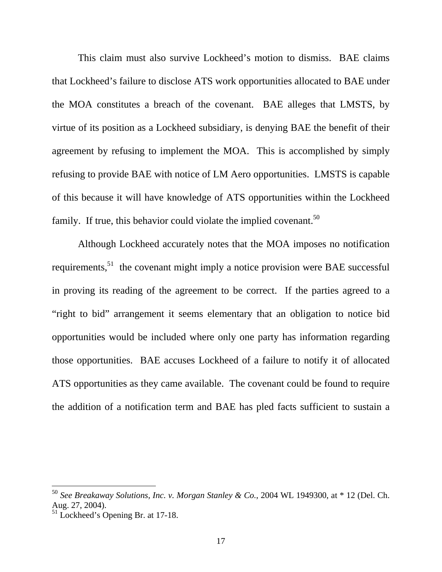This claim must also survive Lockheed's motion to dismiss. BAE claims that Lockheed's failure to disclose ATS work opportunities allocated to BAE under the MOA constitutes a breach of the covenant. BAE alleges that LMSTS, by virtue of its position as a Lockheed subsidiary, is denying BAE the benefit of their agreement by refusing to implement the MOA. This is accomplished by simply refusing to provide BAE with notice of LM Aero opportunities. LMSTS is capable of this because it will have knowledge of ATS opportunities within the Lockheed family. If true, this behavior could violate the implied covenant.<sup>50</sup>

Although Lockheed accurately notes that the MOA imposes no notification requirements,  $51$  the covenant might imply a notice provision were BAE successful in proving its reading of the agreement to be correct. If the parties agreed to a "right to bid" arrangement it seems elementary that an obligation to notice bid opportunities would be included where only one party has information regarding those opportunities. BAE accuses Lockheed of a failure to notify it of allocated ATS opportunities as they came available. The covenant could be found to require the addition of a notification term and BAE has pled facts sufficient to sustain a

<sup>50</sup> *See Breakaway Solutions, Inc. v. Morgan Stanley & Co.*, 2004 WL 1949300, at \* 12 (Del. Ch. Aug. 27, 2004).

<sup>&</sup>lt;sup>51</sup> Lockheed's Opening Br. at 17-18.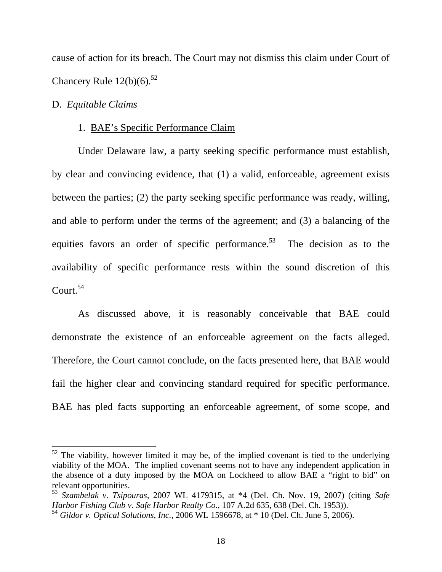cause of action for its breach. The Court may not dismiss this claim under Court of Chancery Rule  $12(b)(6)$ .<sup>52</sup>

### D. *Equitable Claims*

 $\overline{a}$ 

#### 1. BAE's Specific Performance Claim

Under Delaware law, a party seeking specific performance must establish, by clear and convincing evidence, that (1) a valid, enforceable, agreement exists between the parties; (2) the party seeking specific performance was ready, willing, and able to perform under the terms of the agreement; and (3) a balancing of the equities favors an order of specific performance.<sup>53</sup> The decision as to the availability of specific performance rests within the sound discretion of this Court.54

 As discussed above, it is reasonably conceivable that BAE could demonstrate the existence of an enforceable agreement on the facts alleged. Therefore, the Court cannot conclude, on the facts presented here, that BAE would fail the higher clear and convincing standard required for specific performance. BAE has pled facts supporting an enforceable agreement, of some scope, and

 $52$  The viability, however limited it may be, of the implied covenant is tied to the underlying viability of the MOA. The implied covenant seems not to have any independent application in the absence of a duty imposed by the MOA on Lockheed to allow BAE a "right to bid" on relevant opportunities.

<sup>53</sup> *Szambelak v. Tsipouras*, 2007 WL 4179315, at \*4 (Del. Ch. Nov. 19, 2007) (citing *Safe Harbor Fishing Club v. Safe Harbor Realty Co.*, 107 A.2d 635, 638 (Del. Ch. 1953)).

<sup>54</sup> *Gildor v. Optical Solutions, Inc.*, 2006 WL 1596678, at \* 10 (Del. Ch. June 5, 2006).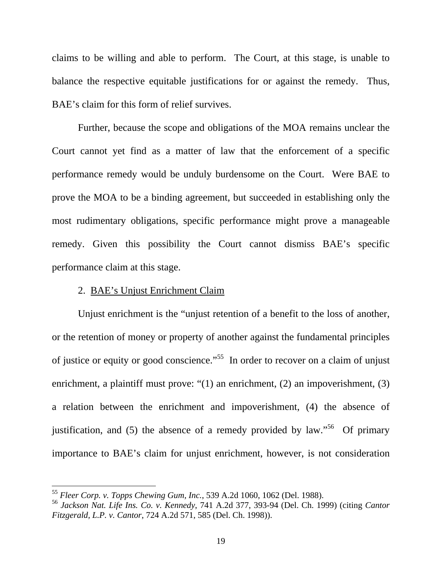claims to be willing and able to perform. The Court, at this stage, is unable to balance the respective equitable justifications for or against the remedy. Thus, BAE's claim for this form of relief survives.

Further, because the scope and obligations of the MOA remains unclear the Court cannot yet find as a matter of law that the enforcement of a specific performance remedy would be unduly burdensome on the Court. Were BAE to prove the MOA to be a binding agreement, but succeeded in establishing only the most rudimentary obligations, specific performance might prove a manageable remedy. Given this possibility the Court cannot dismiss BAE's specific performance claim at this stage.

### 2. BAE's Unjust Enrichment Claim

 $\overline{a}$ 

Unjust enrichment is the "unjust retention of a benefit to the loss of another, or the retention of money or property of another against the fundamental principles of justice or equity or good conscience."55 In order to recover on a claim of unjust enrichment, a plaintiff must prove: "(1) an enrichment, (2) an impoverishment, (3) a relation between the enrichment and impoverishment, (4) the absence of justification, and (5) the absence of a remedy provided by law."<sup>56</sup> Of primary importance to BAE's claim for unjust enrichment, however, is not consideration

<sup>55</sup> *Fleer Corp. v. Topps Chewing Gum, Inc.*, 539 A.2d 1060, 1062 (Del. 1988).

<sup>56</sup> *Jackson Nat. Life Ins. Co. v. Kennedy*, 741 A.2d 377, 393-94 (Del. Ch. 1999) (citing *Cantor Fitzgerald, L.P. v. Cantor*, 724 A.2d 571, 585 (Del. Ch. 1998)).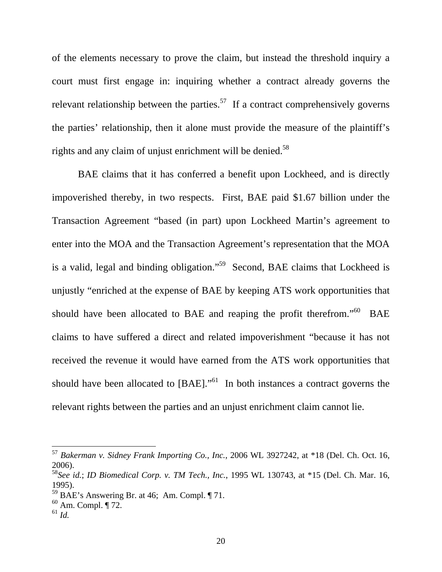of the elements necessary to prove the claim, but instead the threshold inquiry a court must first engage in: inquiring whether a contract already governs the relevant relationship between the parties.<sup>57</sup> If a contract comprehensively governs the parties' relationship, then it alone must provide the measure of the plaintiff's rights and any claim of unjust enrichment will be denied.<sup>58</sup>

BAE claims that it has conferred a benefit upon Lockheed, and is directly impoverished thereby, in two respects. First, BAE paid \$1.67 billion under the Transaction Agreement "based (in part) upon Lockheed Martin's agreement to enter into the MOA and the Transaction Agreement's representation that the MOA is a valid, legal and binding obligation."<sup>59</sup> Second, BAE claims that Lockheed is unjustly "enriched at the expense of BAE by keeping ATS work opportunities that should have been allocated to BAE and reaping the profit therefrom."<sup>60</sup> BAE claims to have suffered a direct and related impoverishment "because it has not received the revenue it would have earned from the ATS work opportunities that should have been allocated to  $[BAE]$ ."<sup>61</sup> In both instances a contract governs the relevant rights between the parties and an unjust enrichment claim cannot lie.

<sup>57</sup> *Bakerman v. Sidney Frank Importing Co., Inc.*, 2006 WL 3927242, at \*18 (Del. Ch. Oct. 16, 2006).

<sup>58</sup>*See id.*; *ID Biomedical Corp. v. TM Tech., Inc.*, 1995 WL 130743, at \*15 (Del. Ch. Mar. 16, 1995).

 $^{59}$  BAE's Answering Br. at 46; Am. Compl.  $\P$  71.

 $60$  Am. Compl. ¶ 72.

 $^{61}$  *Id.*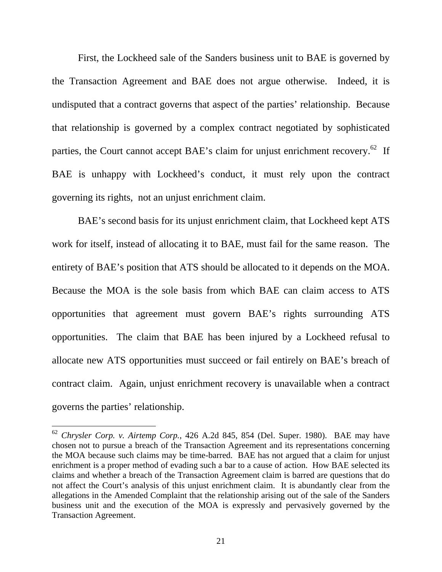First, the Lockheed sale of the Sanders business unit to BAE is governed by the Transaction Agreement and BAE does not argue otherwise. Indeed, it is undisputed that a contract governs that aspect of the parties' relationship. Because that relationship is governed by a complex contract negotiated by sophisticated parties, the Court cannot accept BAE's claim for unjust enrichment recovery.<sup>62</sup> If BAE is unhappy with Lockheed's conduct, it must rely upon the contract governing its rights, not an unjust enrichment claim.

BAE's second basis for its unjust enrichment claim, that Lockheed kept ATS work for itself, instead of allocating it to BAE, must fail for the same reason. The entirety of BAE's position that ATS should be allocated to it depends on the MOA. Because the MOA is the sole basis from which BAE can claim access to ATS opportunities that agreement must govern BAE's rights surrounding ATS opportunities. The claim that BAE has been injured by a Lockheed refusal to allocate new ATS opportunities must succeed or fail entirely on BAE's breach of contract claim. Again, unjust enrichment recovery is unavailable when a contract governs the parties' relationship.

<sup>62</sup> *Chrysler Corp. v. Airtemp Corp.*, 426 A.2d 845, 854 (Del. Super. 1980). BAE may have chosen not to pursue a breach of the Transaction Agreement and its representations concerning the MOA because such claims may be time-barred. BAE has not argued that a claim for unjust enrichment is a proper method of evading such a bar to a cause of action. How BAE selected its claims and whether a breach of the Transaction Agreement claim is barred are questions that do not affect the Court's analysis of this unjust enrichment claim. It is abundantly clear from the allegations in the Amended Complaint that the relationship arising out of the sale of the Sanders business unit and the execution of the MOA is expressly and pervasively governed by the Transaction Agreement.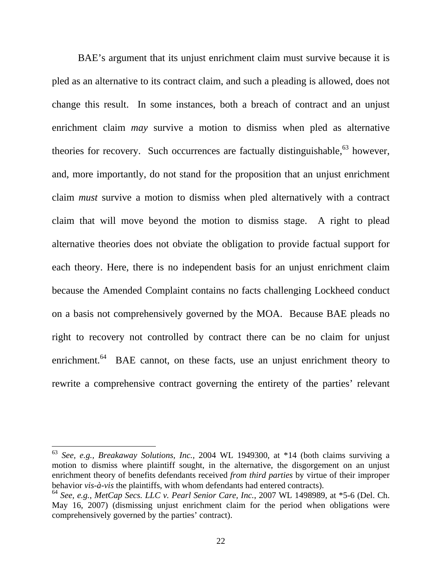BAE's argument that its unjust enrichment claim must survive because it is pled as an alternative to its contract claim, and such a pleading is allowed, does not change this result. In some instances, both a breach of contract and an unjust enrichment claim *may* survive a motion to dismiss when pled as alternative theories for recovery. Such occurrences are factually distinguishable,  $63$  however, and, more importantly, do not stand for the proposition that an unjust enrichment claim *must* survive a motion to dismiss when pled alternatively with a contract claim that will move beyond the motion to dismiss stage. A right to plead alternative theories does not obviate the obligation to provide factual support for each theory. Here, there is no independent basis for an unjust enrichment claim because the Amended Complaint contains no facts challenging Lockheed conduct on a basis not comprehensively governed by the MOA. Because BAE pleads no right to recovery not controlled by contract there can be no claim for unjust enrichment.<sup>64</sup> BAE cannot, on these facts, use an unjust enrichment theory to rewrite a comprehensive contract governing the entirety of the parties' relevant

<sup>63</sup> *See, e.g., Breakaway Solutions, Inc.,* 2004 WL 1949300, at \*14 (both claims surviving a motion to dismiss where plaintiff sought, in the alternative, the disgorgement on an unjust enrichment theory of benefits defendants received *from third parties* by virtue of their improper behavior *vis-à-vis* the plaintiffs, with whom defendants had entered contracts).

<sup>64</sup> *See, e.g.*, *MetCap Secs. LLC v. Pearl Senior Care, Inc.*, 2007 WL 1498989, at \*5-6 (Del. Ch. May 16, 2007) (dismissing unjust enrichment claim for the period when obligations were comprehensively governed by the parties' contract).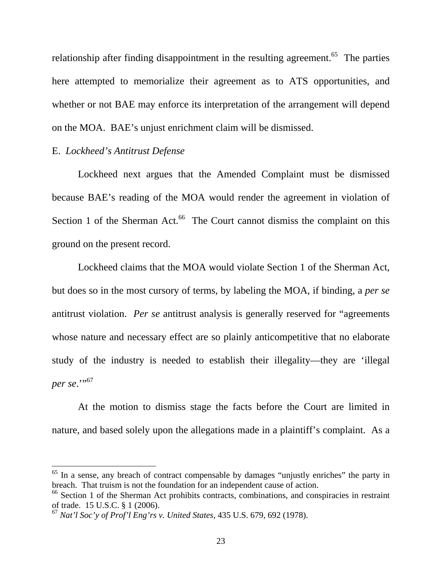relationship after finding disappointment in the resulting agreement.<sup>65</sup> The parties here attempted to memorialize their agreement as to ATS opportunities, and whether or not BAE may enforce its interpretation of the arrangement will depend on the MOA. BAE's unjust enrichment claim will be dismissed.

### E. *Lockheed's Antitrust Defense*

 $\overline{a}$ 

Lockheed next argues that the Amended Complaint must be dismissed because BAE's reading of the MOA would render the agreement in violation of Section 1 of the Sherman Act. $66$  The Court cannot dismiss the complaint on this ground on the present record.

Lockheed claims that the MOA would violate Section 1 of the Sherman Act, but does so in the most cursory of terms, by labeling the MOA, if binding, a *per se* antitrust violation. *Per se* antitrust analysis is generally reserved for "agreements whose nature and necessary effect are so plainly anticompetitive that no elaborate study of the industry is needed to establish their illegality—they are 'illegal *per se.*"<sup>57</sup>

At the motion to dismiss stage the facts before the Court are limited in nature, and based solely upon the allegations made in a plaintiff's complaint. As a

 $65$  In a sense, any breach of contract compensable by damages "unjustly enriches" the party in breach. That truism is not the foundation for an independent cause of action.

<sup>&</sup>lt;sup>66</sup> Section 1 of the Sherman Act prohibits contracts, combinations, and conspiracies in restraint of trade. 15 U.S.C. § 1 (2006).

<sup>67</sup> *Nat'l Soc'y of Prof'l Eng'rs v. United States,* 435 U.S. 679, 692 (1978).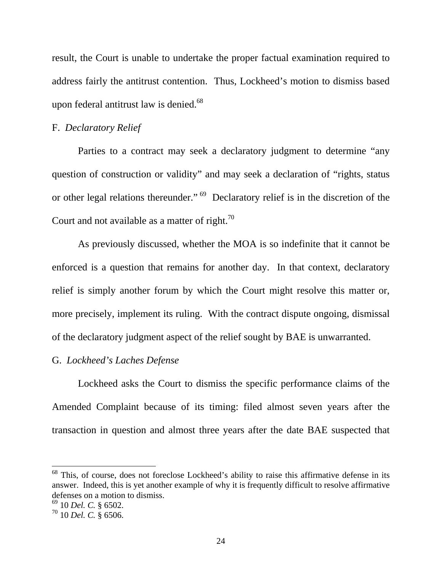result, the Court is unable to undertake the proper factual examination required to address fairly the antitrust contention. Thus, Lockheed's motion to dismiss based upon federal antitrust law is denied. $68$ 

### F. *Declaratory Relief*

Parties to a contract may seek a declaratory judgment to determine "any question of construction or validity" and may seek a declaration of "rights, status or other legal relations thereunder."<sup>69</sup> Declaratory relief is in the discretion of the Court and not available as a matter of right.<sup>70</sup>

 As previously discussed, whether the MOA is so indefinite that it cannot be enforced is a question that remains for another day. In that context, declaratory relief is simply another forum by which the Court might resolve this matter or, more precisely, implement its ruling. With the contract dispute ongoing, dismissal of the declaratory judgment aspect of the relief sought by BAE is unwarranted.

# G. *Lockheed's Laches Defense*

Lockheed asks the Court to dismiss the specific performance claims of the Amended Complaint because of its timing: filed almost seven years after the transaction in question and almost three years after the date BAE suspected that

 $68$  This, of course, does not foreclose Lockheed's ability to raise this affirmative defense in its answer. Indeed, this is yet another example of why it is frequently difficult to resolve affirmative defenses on a motion to dismiss.

<sup>69 10</sup> *Del. C.* § 6502.

 $^{70}$  10 *Del. C.* § 6506.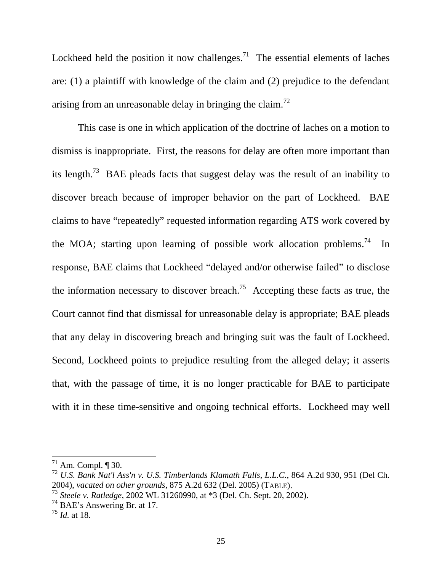Lockheed held the position it now challenges.<sup>71</sup> The essential elements of laches are: (1) a plaintiff with knowledge of the claim and (2) prejudice to the defendant arising from an unreasonable delay in bringing the claim.<sup>72</sup>

 This case is one in which application of the doctrine of laches on a motion to dismiss is inappropriate. First, the reasons for delay are often more important than its length.<sup>73</sup> BAE pleads facts that suggest delay was the result of an inability to discover breach because of improper behavior on the part of Lockheed. BAE claims to have "repeatedly" requested information regarding ATS work covered by the MOA; starting upon learning of possible work allocation problems.<sup>74</sup> In response, BAE claims that Lockheed "delayed and/or otherwise failed" to disclose the information necessary to discover breach.<sup>75</sup> Accepting these facts as true, the Court cannot find that dismissal for unreasonable delay is appropriate; BAE pleads that any delay in discovering breach and bringing suit was the fault of Lockheed. Second, Lockheed points to prejudice resulting from the alleged delay; it asserts that, with the passage of time, it is no longer practicable for BAE to participate with it in these time-sensitive and ongoing technical efforts. Lockheed may well

 $71$  Am. Compl. ¶ 30.

<sup>72</sup> *U.S. Bank Nat'l Ass'n v. U.S. Timberlands Klamath Falls, L.L.C.*, 864 A.2d 930, 951 (Del Ch. 2004), *vacated on other grounds*, 875 A.2d 632 (Del. 2005) (TABLE).

<sup>73</sup> *Steele v. Ratledge*, 2002 WL 31260990, at \*3 (Del. Ch. Sept. 20, 2002).

<sup>74</sup> BAE's Answering Br. at 17.

<sup>75</sup> *Id.* at 18.